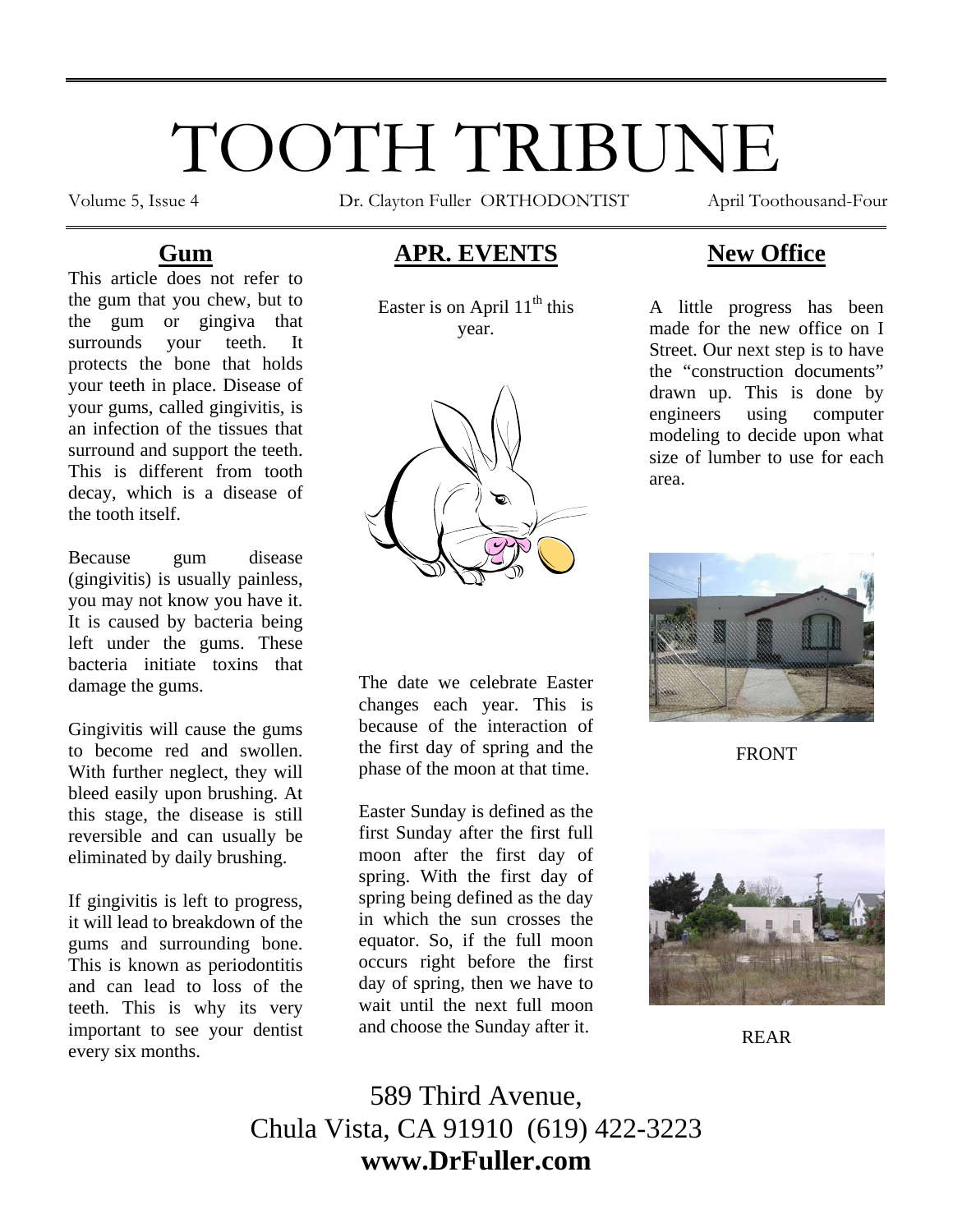# TOOTH TRIBUNE

Volume 5, Issue 4 Dr. Clayton Fuller ORTHODONTIST April Toothousand-Four

# **Gum**

This article does not refer to the gum that you chew, but to the gum or gingiva that surrounds your teeth. It protects the bone that holds your teeth in place. Disease of your gums, called gingivitis, is an infection of the tissues that surround and support the teeth. This is different from tooth decay, which is a disease of the tooth itself.

Because gum disease (gingivitis) is usually painless, you may not know you have it. It is caused by bacteria being left under the gums. These bacteria initiate toxins that damage the gums.

Gingivitis will cause the gums to become red and swollen. With further neglect, they will bleed easily upon brushing. At this stage, the disease is still reversible and can usually be eliminated by daily brushing.

If gingivitis is left to progress, it will lead to breakdown of the gums and surrounding bone. This is known as periodontitis and can lead to loss of the teeth. This is why its very important to see your dentist every six months.

# **APR. EVENTS**

Easter is on April  $11<sup>th</sup>$  this year.



The date we celebrate Easter changes each year. This is because of the interaction of the first day of spring and the phase of the moon at that time.

Easter Sunday is defined as the first Sunday after the first full moon after the first day of spring. With the first day of spring being defined as the day in which the sun crosses the equator. So, if the full moon occurs right before the first day of spring, then we have to wait until the next full moon and choose the Sunday after it.

# **New Office**

A little progress has been made for the new office on I Street. Our next step is to have the "construction documents" drawn up. This is done by engineers using computer modeling to decide upon what size of lumber to use for each area.



FRONT



REAR

589 Third Avenue, Chula Vista, CA 91910 (619) 422-3223 **www.DrFuller.com**